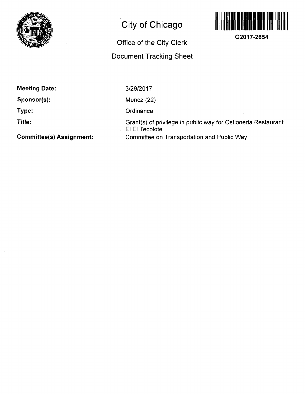

# **City of Chicago**

### **Office of the City Clerk**

## **Document Tracking Sheet**



**O2017-2654** 

| Meeting Date: |  |
|---------------|--|
|---------------|--|

**Sponsor(s):** 

**Type:** 

**Title:** 

**Committee(s) Assignment:** 

3/29/2017

Munoz (22)

**Ordinance** 

Grant(s) of privilege in public way for Ostioneria Restaurant El El Tecolote Committee on Transportation and Public Way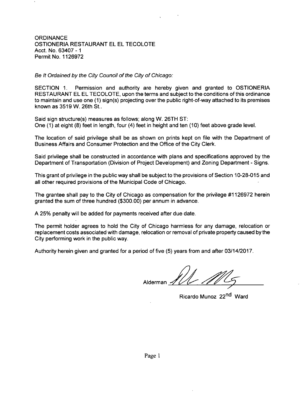### **ORDINANCE** OSTIONERIA RESTAURANT EL EL TECOLOTE Acct. No. 63407 - 1 Permit No. 1126972

### Be It Ordained by the City Council of the City of Chicago:

SECTION 1. Permission and authority are hereby given and granted to OSTIONERIA RESTAURANT EL EL TECOLOTE, upon the terms and subject to the conditions of this ordinance to maintain and use one (1) sign(s) projecting over the public right-of-way attached to its premises known as 3519 W. 26th St..

Said sign structure(s) measures as follows; along W. 26TH ST: One (1) at eight (8) feet in length, four (4) feet in height and ten (10) feet above grade level.

The location of said privilege shall be as shown on prints kept on file with the Department of Business Affairs and Consumer Protection and the Office of the City Clerk.

Said privilege shall be constructed in accordance with plans and specifications approved by the Department of Transportation (Division of Project Development) and Zoning Department - Signs.

This grant of privilege in the public way shall be subject to the provisions of Section 10-28-015 and all other required provisions of the Municipal Code of Chicago.

The grantee shall pay to the City of Chicago as compensation for the privilege #1126972 herein granted the sum of three hundred (\$300.00) per annum in advance.

A 25% penalty will be added for payments received after due date.

The permit holder agrees to hold the City of Chicago harmless for any damage, relocation or replacement costs associated with damage, relocation or removal of private property caused by the City performing work in the public way.

Authority herein given and granted for a period of five (5) years from and after 03/14/2017.

Alderman

Ricardo Munoz 22<sup>nd</sup> Ward